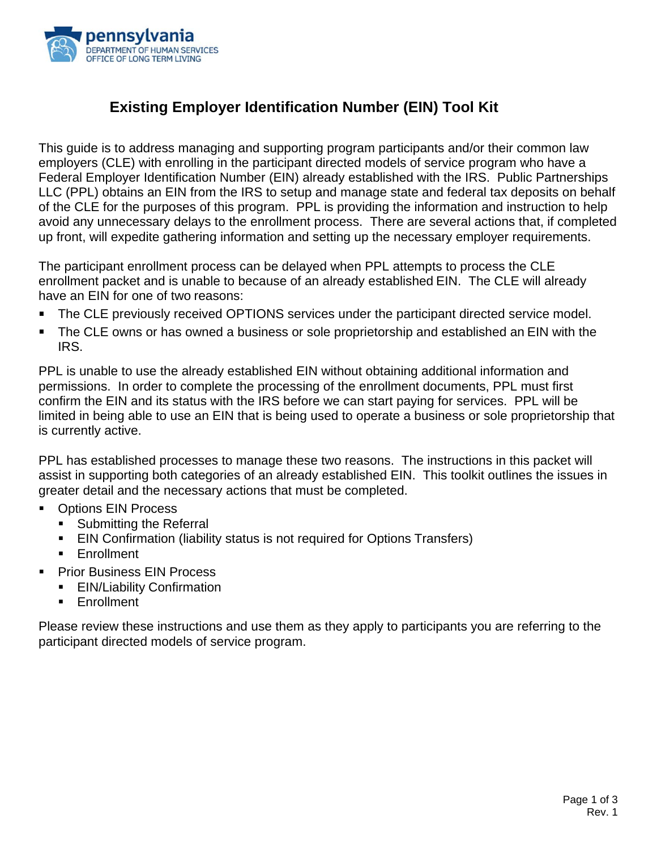

# **Existing Employer Identification Number (EIN) Tool Kit**

This guide is to address managing and supporting program participants and/or their common law employers (CLE) with enrolling in the participant directed models of service program who have a Federal Employer Identification Number (EIN) already established with the IRS. Public Partnerships LLC (PPL) obtains an EIN from the IRS to setup and manage state and federal tax deposits on behalf of the CLE for the purposes of this program. PPL is providing the information and instruction to help avoid any unnecessary delays to the enrollment process. There are several actions that, if completed up front, will expedite gathering information and setting up the necessary employer requirements.

The participant enrollment process can be delayed when PPL attempts to process the CLE enrollment packet and is unable to because of an already established EIN. The CLE will already have an EIN for one of two reasons:

- The CLE previously received OPTIONS services under the participant directed service model.
- The CLE owns or has owned a business or sole proprietorship and established an EIN with the IRS.

PPL is unable to use the already established EIN without obtaining additional information and permissions. In order to complete the processing of the enrollment documents, PPL must first confirm the EIN and its status with the IRS before we can start paying for services. PPL will be limited in being able to use an EIN that is being used to operate a business or sole proprietorship that is currently active.

PPL has established processes to manage these two reasons. The instructions in this packet will assist in supporting both categories of an already established EIN. This toolkit outlines the issues in greater detail and the necessary actions that must be completed.

- Options EIN Process
	- Submitting the Referral
	- EIN Confirmation (liability status is not required for Options Transfers)
	- **Enrollment**
- Prior Business EIN Process
	- EIN/Liability Confirmation
	- Enrollment

Please review these instructions and use them as they apply to participants you are referring to the participant directed models of service program.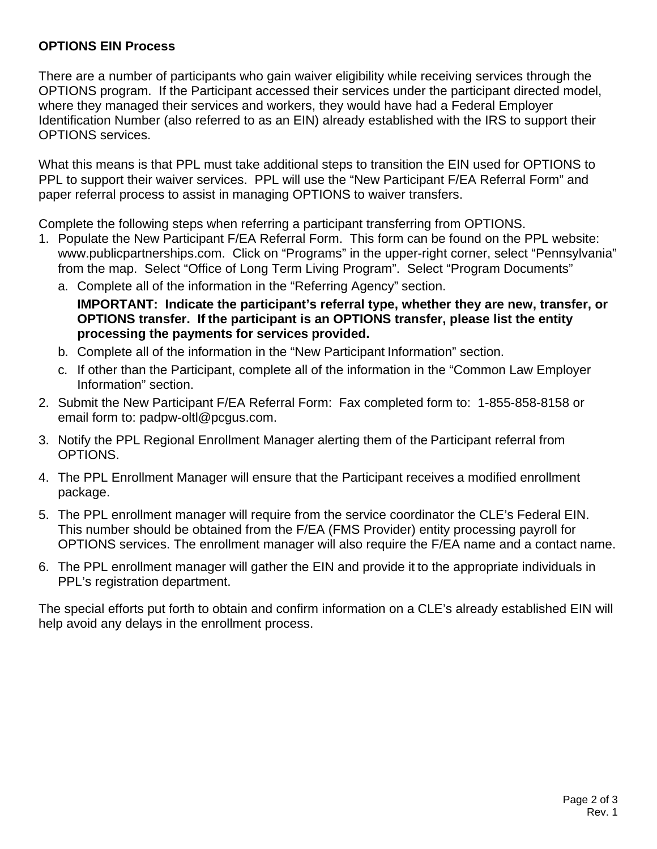## **OPTIONS EIN Process**

There are a number of participants who gain waiver eligibility while receiving services through the OPTIONS program. If the Participant accessed their services under the participant directed model, where they managed their services and workers, they would have had a Federal Employer Identification Number (also referred to as an EIN) already established with the IRS to support their OPTIONS services.

What this means is that PPL must take additional steps to transition the EIN used for OPTIONS to PPL to support their waiver services. PPL will use the "New Participant F/EA Referral Form" and paper referral process to assist in managing OPTIONS to waiver transfers.

Complete the following steps when referring a participant transferring from OPTIONS.

- 1. Populate the New Participant F/EA Referral Form. This form can be found on the PPL website: [www.publicpartnerships.com.](http://www.publicpartnerships.com/) Click on "Programs" in the upper-right corner, select "Pennsylvania" from the map. Select "Office of Long Term Living Program". Select "Program Documents"
	- a. Complete all of the information in the "Referring Agency" section. **IMPORTANT: Indicate the participant's referral type, whether they are new, transfer, or OPTIONS transfer. If the participant is an OPTIONS transfer, please list the entity processing the payments for services provided.**
	- b. Complete all of the information in the "New Participant Information" section.
	- c. If other than the Participant, complete all of the information in the "Common Law Employer Information" section.
- 2. Submit the New Participant F/EA Referral Form: Fax completed form to: 1-855-858-8158 or email form to: [padpw-oltl@pcgus.com.](mailto:padpw-oltl@pcgus.com)
- 3. Notify the PPL Regional Enrollment Manager alerting them of the Participant referral from OPTIONS.
- 4. The PPL Enrollment Manager will ensure that the Participant receives a modified enrollment package.
- 5. The PPL enrollment manager will require from the service coordinator the CLE's Federal EIN. This number should be obtained from the F/EA (FMS Provider) entity processing payroll for OPTIONS services. The enrollment manager will also require the F/EA name and a contact name.
- 6. The PPL enrollment manager will gather the EIN and provide it to the appropriate individuals in PPL's registration department.

The special efforts put forth to obtain and confirm information on a CLE's already established EIN will help avoid any delays in the enrollment process.